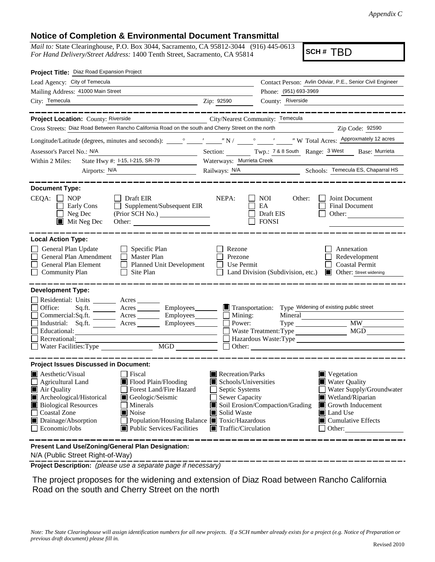*Appendix C*

## **Notice of Completion & Environmental Document Transmittal**

*Mail to:* State Clearinghouse, P.O. Box 3044, Sacramento, CA 95812-3044 (916) 445-0613 *For Hand Delivery/Street Address:* 1400 Tenth Street, Sacramento, CA 95814

**SCH #** TBD

| Project Title: Diaz Road Expansion Project                                                                                                                                                                                                                                                                                                                                            |                                                                                                                                                                                                                                                                                                                                                                  |
|---------------------------------------------------------------------------------------------------------------------------------------------------------------------------------------------------------------------------------------------------------------------------------------------------------------------------------------------------------------------------------------|------------------------------------------------------------------------------------------------------------------------------------------------------------------------------------------------------------------------------------------------------------------------------------------------------------------------------------------------------------------|
| Lead Agency: City of Temecula                                                                                                                                                                                                                                                                                                                                                         | Contact Person: Avlin Odviar, P.E., Senior Civil Engineer                                                                                                                                                                                                                                                                                                        |
| Mailing Address: 41000 Main Street                                                                                                                                                                                                                                                                                                                                                    | Phone: (951) 693-3969                                                                                                                                                                                                                                                                                                                                            |
| City: Temecula                                                                                                                                                                                                                                                                                                                                                                        | Zip: 92590<br>County: Riverside                                                                                                                                                                                                                                                                                                                                  |
| --------                                                                                                                                                                                                                                                                                                                                                                              |                                                                                                                                                                                                                                                                                                                                                                  |
| Project Location: County: Riverside                                                                                                                                                                                                                                                                                                                                                   | City/Nearest Community: Temecula                                                                                                                                                                                                                                                                                                                                 |
| Cross Streets: Diaz Road Between Rancho California Road on the south and Cherry Street on the north                                                                                                                                                                                                                                                                                   | Zip Code: 92590                                                                                                                                                                                                                                                                                                                                                  |
|                                                                                                                                                                                                                                                                                                                                                                                       |                                                                                                                                                                                                                                                                                                                                                                  |
| Assessor's Parcel No.: N/A                                                                                                                                                                                                                                                                                                                                                            | Section: Twp.: 7 & 8 South Range: 3 West Base: Murrieta                                                                                                                                                                                                                                                                                                          |
| State Hwy #: 1-15, 1-215, SR-79<br>Within 2 Miles:                                                                                                                                                                                                                                                                                                                                    | Waterways: Murrieta Creek                                                                                                                                                                                                                                                                                                                                        |
| Airports: <u>N/A</u>                                                                                                                                                                                                                                                                                                                                                                  | Railways: N/A Schools: Temecula ES, Chaparral HS                                                                                                                                                                                                                                                                                                                 |
| <b>Document Type:</b><br>$CEQA: \Box NOP$<br>$\Box$ Draft EIR<br>Early Cons<br>$\Box$ Supplement/Subsequent EIR<br>$\Box$ Neg Dec<br>(Prior SCH No.)<br>$\blacksquare$ Mit Neg Dec<br>Other:                                                                                                                                                                                          | NEPA:<br>NOI<br>Other:<br>Joint Document<br>EA<br>Final Document<br>Draft EIS<br>Other:<br><b>FONSI</b>                                                                                                                                                                                                                                                          |
| <b>Local Action Type:</b><br>General Plan Update<br>$\Box$ Specific Plan<br>General Plan Amendment<br>$\Box$ Master Plan<br>General Plan Element<br>Planned Unit Development<br><b>Community Plan</b><br>$\Box$<br>Site Plan                                                                                                                                                          | Rezone<br>Annexation<br>Prezone<br>Redevelopment<br><b>Coastal Permit</b><br>Use Permit<br>Land Division (Subdivision, etc.)<br><b>Other:</b> Street widening                                                                                                                                                                                                    |
| <b>Development Type:</b><br>Residential: Units ________ Acres _______<br>Office:<br>Sq.ft. _________ Acres __________ Employees________<br>Commercial:Sq.ft. _________ Acres __________ Employees________<br>Industrial: Sq.ft. _______ Acres _______ Employees_______<br>Educational:<br>Recreational:<br>Water Facilities: Type<br>MGD                                              | Transportation: Type Widening of existing public street<br>Mining:<br>Power:<br>Mineral<br><b>MW</b><br>$Type \_\_$<br>MGD<br>Waste Treatment: Type<br>Hazardous Waste:Type<br>Other:                                                                                                                                                                            |
| <b>Project Issues Discussed in Document:</b>                                                                                                                                                                                                                                                                                                                                          |                                                                                                                                                                                                                                                                                                                                                                  |
| $\blacksquare$ Aesthetic/Visual<br>  Fiscal<br>$\Box$ Agricultural Land<br>Flood Plain/Flooding<br>Air Quality<br>Forest Land/Fire Hazard<br>Archeological/Historical<br>Geologic/Seismic<br><b>Biological Resources</b><br>Minerals<br>Coastal Zone<br>Noise<br>Drainage/Absorption<br>Population/Housing Balance ■ Toxic/Hazardous<br>Economic/Jobs<br>■ Public Services/Facilities | $\blacksquare$ Recreation/Parks<br>Vegetation<br>Schools/Universities<br><b>Water Quality</b><br>Septic Systems<br>Water Supply/Groundwater<br>Sewer Capacity<br>Wetland/Riparian<br>Soil Erosion/Compaction/Grading<br>Growth Inducement<br>Land Use<br>Solid Waste<br>$\blacksquare$ Cumulative Effects<br>$\blacksquare$ Traffic/Circulation<br>$\Box$ Other: |
| Present Land Use/Zoning/General Plan Designation:                                                                                                                                                                                                                                                                                                                                     |                                                                                                                                                                                                                                                                                                                                                                  |

N/A (Public Street Right-of-Way)

**Project Description:** *(please use a separate page if necessary)*

 The project proposes for the widening and extension of Diaz Road between Rancho California Road on the south and Cherry Street on the north